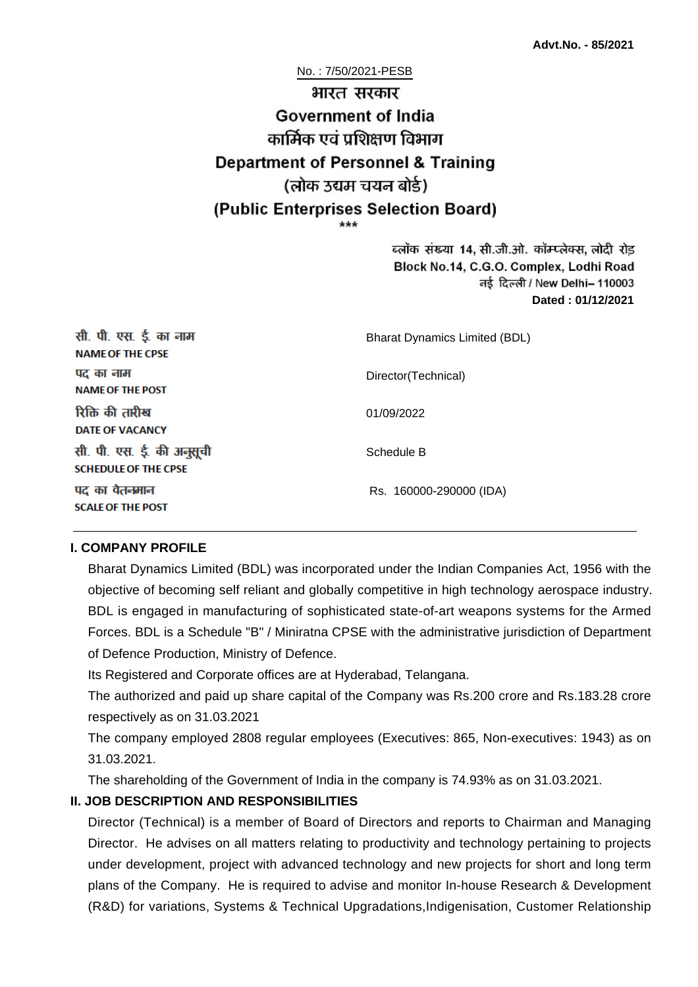No. : 7/50/2021-PESB

# भारत सरकार **Government of India** कार्मिक एवं पशिक्षण विभाग **Department of Personnel & Training** (लोक उद्यम चयन बोर्ड) (Public Enterprises Selection Board)

ब्लॉक संख्या 14, सी.जी.ओ. कॉम्प्लेक्स, लोदी रोड Block No.14, C.G.O. Complex, Lodhi Road नई दिल्ली / New Delhi– 110003 **Dated : 01/12/2021**

| सी. पी. एस. ई. का नाम<br><b>NAME OF THE CPSE</b>         | <b>Bharat Dynamics Limited (BDL)</b> |
|----------------------------------------------------------|--------------------------------------|
| पद का नाम<br><b>NAME OF THE POST</b>                     | Director(Technical)                  |
| रिक्ति की तारीख<br><b>DATE OF VACANCY</b>                | 01/09/2022                           |
| सी. पी. एस. ई. की अनुसूची<br><b>SCHEDULE OF THE CPSE</b> | Schedule B                           |
| पद का वेतनमान<br><b>SCALE OF THE POST</b>                | Rs. 160000-290000 (IDA)              |

#### **I. COMPANY PROFILE**

Bharat Dynamics Limited (BDL) was incorporated under the Indian Companies Act, 1956 with the objective of becoming self reliant and globally competitive in high technology aerospace industry. BDL is engaged in manufacturing of sophisticated state-of-art weapons systems for the Armed Forces. BDL is a Schedule "B" / Miniratna CPSE with the administrative jurisdiction of Department of Defence Production, Ministry of Defence.

Its Registered and Corporate offices are at Hyderabad, Telangana.

The authorized and paid up share capital of the Company was Rs.200 crore and Rs.183.28 crore respectively as on 31.03.2021

The company employed 2808 regular employees (Executives: 865, Non-executives: 1943) as on 31.03.2021.

The shareholding of the Government of India in the company is 74.93% as on 31.03.2021.

# **II. JOB DESCRIPTION AND RESPONSIBILITIES**

Director (Technical) is a member of Board of Directors and reports to Chairman and Managing Director. He advises on all matters relating to productivity and technology pertaining to projects under development, project with advanced technology and new projects for short and long term plans of the Company. He is required to advise and monitor In-house Research & Development (R&D) for variations, Systems & Technical Upgradations,Indigenisation, Customer Relationship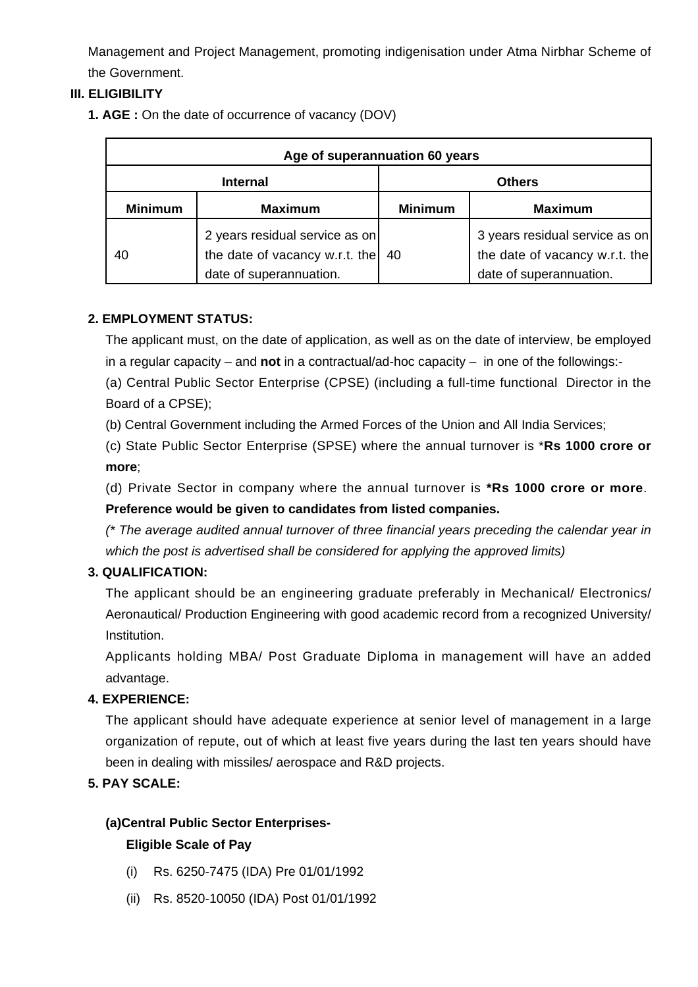Management and Project Management, promoting indigenisation under Atma Nirbhar Scheme of the Government.

# **III. ELIGIBILITY**

**1. AGE :** On the date of occurrence of vacancy (DOV)

| Age of superannuation 60 years |                                                                                             |                |                                                                                             |  |
|--------------------------------|---------------------------------------------------------------------------------------------|----------------|---------------------------------------------------------------------------------------------|--|
| <b>Internal</b>                |                                                                                             | <b>Others</b>  |                                                                                             |  |
| <b>Minimum</b>                 | <b>Maximum</b>                                                                              | <b>Minimum</b> | <b>Maximum</b>                                                                              |  |
| 40                             | 2 years residual service as on<br>the date of vacancy w.r.t. the<br>date of superannuation. | 40             | 3 years residual service as on<br>the date of vacancy w.r.t. the<br>date of superannuation. |  |

# **2. EMPLOYMENT STATUS:**

The applicant must, on the date of application, as well as on the date of interview, be employed in a regular capacity – and **not** in a contractual/ad-hoc capacity – in one of the followings:-

(a) Central Public Sector Enterprise (CPSE) (including a full-time functional Director in the Board of a CPSE);

(b) Central Government including the Armed Forces of the Union and All India Services;

(c) State Public Sector Enterprise (SPSE) where the annual turnover is \***Rs 1000 crore or more**;

(d) Private Sector in company where the annual turnover is **\*Rs 1000 crore or more**. **Preference would be given to candidates from listed companies.**

(\* The average audited annual turnover of three financial years preceding the calendar year in which the post is advertised shall be considered for applying the approved limits)

# **3. QUALIFICATION:**

The applicant should be an engineering graduate preferably in Mechanical/ Electronics/ Aeronautical/ Production Engineering with good academic record from a recognized University/ Institution.

Applicants holding MBA/ Post Graduate Diploma in management will have an added advantage.

# **4. EXPERIENCE:**

The applicant should have adequate experience at senior level of management in a large organization of repute, out of which at least five years during the last ten years should have been in dealing with missiles/ aerospace and R&D projects.

# **5. PAY SCALE:**

# **(a)Central Public Sector Enterprises-**

#### **Eligible Scale of Pay**

- (i) Rs. 6250-7475 (IDA) Pre 01/01/1992
- (ii) Rs. 8520-10050 (IDA) Post 01/01/1992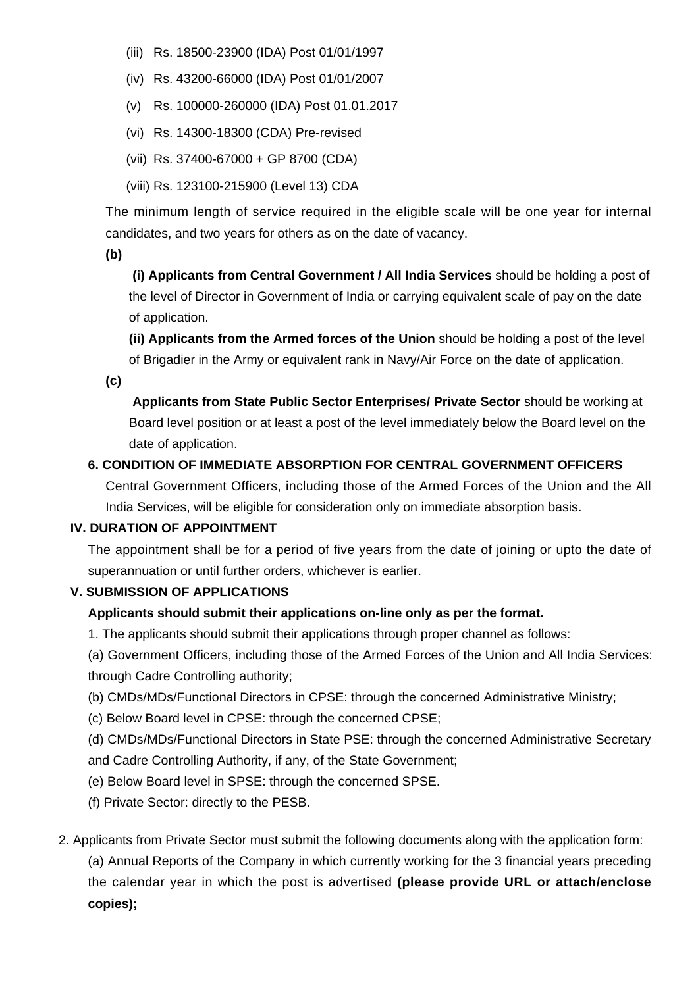- (iii) Rs. 18500-23900 (IDA) Post 01/01/1997
- (iv) Rs. 43200-66000 (IDA) Post 01/01/2007
- (v) Rs. 100000-260000 (IDA) Post 01.01.2017
- (vi) Rs. 14300-18300 (CDA) Pre-revised
- (vii) Rs. 37400-67000 + GP 8700 (CDA)
- (viii) Rs. 123100-215900 (Level 13) CDA

The minimum length of service required in the eligible scale will be one year for internal candidates, and two years for others as on the date of vacancy.

**(b)**

**(i) Applicants from Central Government / All India Services** should be holding a post of the level of Director in Government of India or carrying equivalent scale of pay on the date of application.

**(ii) Applicants from the Armed forces of the Union** should be holding a post of the level of Brigadier in the Army or equivalent rank in Navy/Air Force on the date of application.

**(c)**

 **Applicants from State Public Sector Enterprises/ Private Sector** should be working at Board level position or at least a post of the level immediately below the Board level on the date of application.

# **6. CONDITION OF IMMEDIATE ABSORPTION FOR CENTRAL GOVERNMENT OFFICERS**

Central Government Officers, including those of the Armed Forces of the Union and the All India Services, will be eligible for consideration only on immediate absorption basis.

# **IV. DURATION OF APPOINTMENT**

The appointment shall be for a period of five years from the date of joining or upto the date of superannuation or until further orders, whichever is earlier.

# **V. SUBMISSION OF APPLICATIONS**

# **Applicants should submit their applications on-line only as per the format.**

1. The applicants should submit their applications through proper channel as follows:

(a) Government Officers, including those of the Armed Forces of the Union and All India Services: through Cadre Controlling authority;

- (b) CMDs/MDs/Functional Directors in CPSE: through the concerned Administrative Ministry;
- (c) Below Board level in CPSE: through the concerned CPSE;

(d) CMDs/MDs/Functional Directors in State PSE: through the concerned Administrative Secretary and Cadre Controlling Authority, if any, of the State Government;

- (e) Below Board level in SPSE: through the concerned SPSE.
- (f) Private Sector: directly to the PESB.
- 2. Applicants from Private Sector must submit the following documents along with the application form: (a) Annual Reports of the Company in which currently working for the 3 financial years preceding the calendar year in which the post is advertised **(please provide URL or attach/enclose copies);**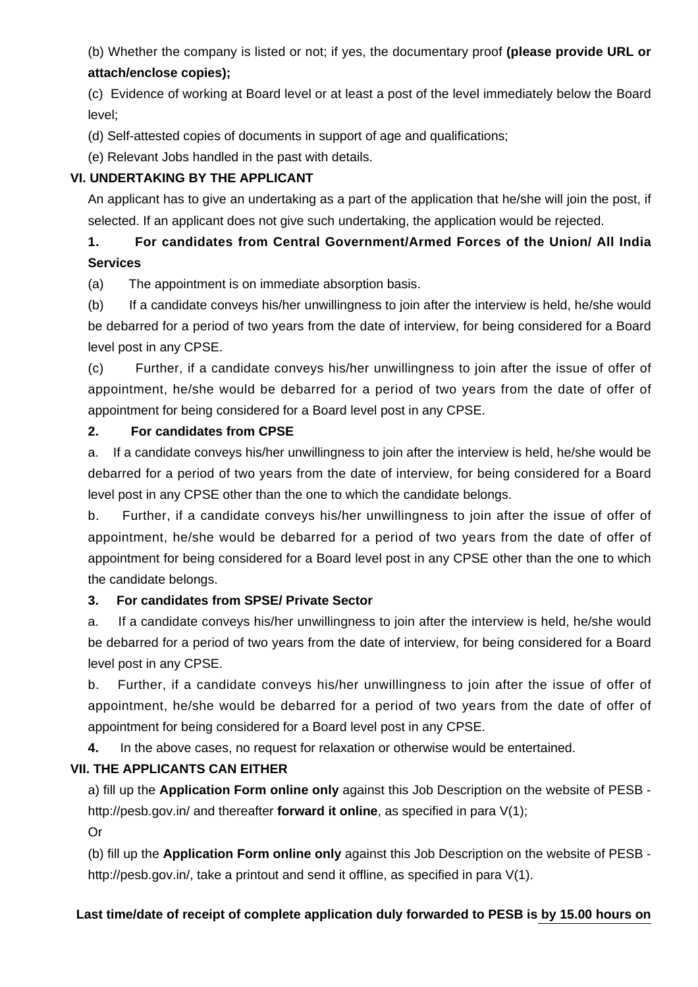(b) Whether the company is listed or not; if yes, the documentary proof **(please provide URL or attach/enclose copies);**

(c) Evidence of working at Board level or at least a post of the level immediately below the Board level;

(d) Self-attested copies of documents in support of age and qualifications;

(e) Relevant Jobs handled in the past with details.

# **VI. UNDERTAKING BY THE APPLICANT**

An applicant has to give an undertaking as a part of the application that he/she will join the post, if selected. If an applicant does not give such undertaking, the application would be rejected.

# **1. For candidates from Central Government/Armed Forces of the Union/ All India Services**

(a) The appointment is on immediate absorption basis.

(b) If a candidate conveys his/her unwillingness to join after the interview is held, he/she would be debarred for a period of two years from the date of interview, for being considered for a Board level post in any CPSE.

(c) Further, if a candidate conveys his/her unwillingness to join after the issue of offer of appointment, he/she would be debarred for a period of two years from the date of offer of appointment for being considered for a Board level post in any CPSE.

# **2. For candidates from CPSE**

a. If a candidate conveys his/her unwillingness to join after the interview is held, he/she would be debarred for a period of two years from the date of interview, for being considered for a Board level post in any CPSE other than the one to which the candidate belongs.

b. Further, if a candidate conveys his/her unwillingness to join after the issue of offer of appointment, he/she would be debarred for a period of two years from the date of offer of appointment for being considered for a Board level post in any CPSE other than the one to which the candidate belongs.

# **3. For candidates from SPSE/ Private Sector**

a. If a candidate conveys his/her unwillingness to join after the interview is held, he/she would be debarred for a period of two years from the date of interview, for being considered for a Board level post in any CPSE.

b. Further, if a candidate conveys his/her unwillingness to join after the issue of offer of appointment, he/she would be debarred for a period of two years from the date of offer of appointment for being considered for a Board level post in any CPSE.

**4.** In the above cases, no request for relaxation or otherwise would be entertained.

# **VII. THE APPLICANTS CAN EITHER**

a) fill up the **Application Form online only** against this Job Description on the website of PESB http://pesb.gov.in/ and thereafter **forward it online**, as specified in para V(1);

Or

(b) fill up the **Application Form online only** against this Job Description on the website of PESB http://pesb.gov.in/, take a printout and send it offline, as specified in para V(1).

# **Last time/date of receipt of complete application duly forwarded to PESB is by 15.00 hours on**